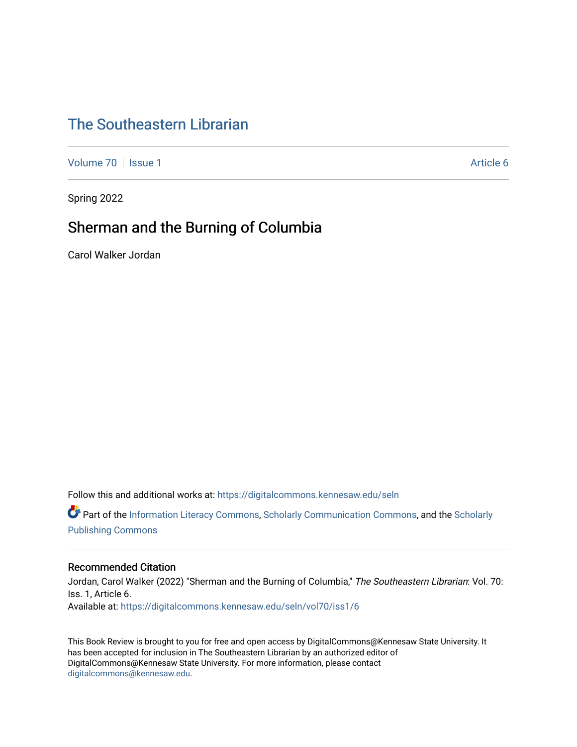## [The Southeastern Librarian](https://digitalcommons.kennesaw.edu/seln)

[Volume 70](https://digitalcommons.kennesaw.edu/seln/vol70) | [Issue 1](https://digitalcommons.kennesaw.edu/seln/vol70/iss1) Article 6

Spring 2022

### Sherman and the Burning of Columbia

Carol Walker Jordan

Follow this and additional works at: [https://digitalcommons.kennesaw.edu/seln](https://digitalcommons.kennesaw.edu/seln?utm_source=digitalcommons.kennesaw.edu%2Fseln%2Fvol70%2Fiss1%2F6&utm_medium=PDF&utm_campaign=PDFCoverPages) 

Part of the [Information Literacy Commons](http://network.bepress.com/hgg/discipline/1243?utm_source=digitalcommons.kennesaw.edu%2Fseln%2Fvol70%2Fiss1%2F6&utm_medium=PDF&utm_campaign=PDFCoverPages), [Scholarly Communication Commons](http://network.bepress.com/hgg/discipline/1272?utm_source=digitalcommons.kennesaw.edu%2Fseln%2Fvol70%2Fiss1%2F6&utm_medium=PDF&utm_campaign=PDFCoverPages), and the [Scholarly](http://network.bepress.com/hgg/discipline/1273?utm_source=digitalcommons.kennesaw.edu%2Fseln%2Fvol70%2Fiss1%2F6&utm_medium=PDF&utm_campaign=PDFCoverPages) [Publishing Commons](http://network.bepress.com/hgg/discipline/1273?utm_source=digitalcommons.kennesaw.edu%2Fseln%2Fvol70%2Fiss1%2F6&utm_medium=PDF&utm_campaign=PDFCoverPages)

#### Recommended Citation

Jordan, Carol Walker (2022) "Sherman and the Burning of Columbia," The Southeastern Librarian: Vol. 70: Iss. 1, Article 6. Available at: [https://digitalcommons.kennesaw.edu/seln/vol70/iss1/6](https://digitalcommons.kennesaw.edu/seln/vol70/iss1/6?utm_source=digitalcommons.kennesaw.edu%2Fseln%2Fvol70%2Fiss1%2F6&utm_medium=PDF&utm_campaign=PDFCoverPages)

This Book Review is brought to you for free and open access by DigitalCommons@Kennesaw State University. It has been accepted for inclusion in The Southeastern Librarian by an authorized editor of DigitalCommons@Kennesaw State University. For more information, please contact [digitalcommons@kennesaw.edu.](mailto:digitalcommons@kennesaw.edu)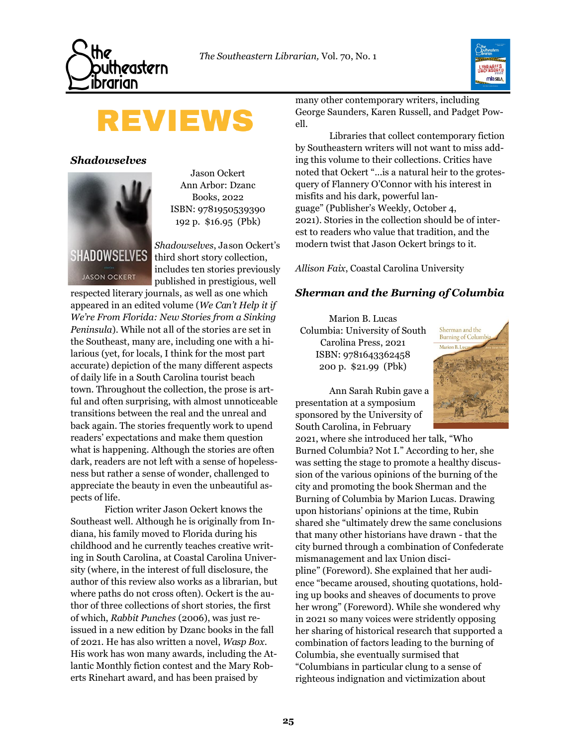



# **REVIEWS**

*Shadowselves* 



**JASON OCKERT** 

Jason Ockert Ann Arbor: Dzanc Books, 2022 ISBN: 9781950539390 192 p. \$16.95 (Pbk)

*Shadowselves*, Jason Ockert's third short story collection, includes ten stories previously published in prestigious, well

respected literary journals, as well as one which appeared in an edited volume (*We Can't Help it if We're From Florida: New Stories from a Sinking Peninsula*). While not all of the stories are set in the Southeast, many are, including one with a hilarious (yet, for locals, I think for the most part accurate) depiction of the many different aspects of daily life in a South Carolina tourist beach town. Throughout the collection, the prose is artful and often surprising, with almost unnoticeable transitions between the real and the unreal and back again. The stories frequently work to upend readers' expectations and make them question what is happening. Although the stories are often dark, readers are not left with a sense of hopelessness but rather a sense of wonder, challenged to appreciate the beauty in even the unbeautiful aspects of life.

Fiction writer Jason Ockert knows the Southeast well. Although he is originally from Indiana, his family moved to Florida during his childhood and he currently teaches creative writing in South Carolina, at Coastal Carolina University (where, in the interest of full disclosure, the author of this review also works as a librarian, but where paths do not cross often). Ockert is the author of three collections of short stories, the first of which, *Rabbit Punches* (2006), was just reissued in a new edition by Dzanc books in the fall of 2021. He has also written a novel, *Wasp Box*. His work has won many awards, including the Atlantic Monthly fiction contest and the Mary Roberts Rinehart award, and has been praised by

many other contemporary writers, including George Saunders, Karen Russell, and Padget Powell.

Libraries that collect contemporary fiction by Southeastern writers will not want to miss adding this volume to their collections. Critics have noted that Ockert "...is a natural heir to the grotesquery of Flannery O'Connor with his interest in misfits and his dark, powerful language" (Publisher's Weekly, October 4, 2021). Stories in the collection should be of interest to readers who value that tradition, and the modern twist that Jason Ockert brings to it.

*Allison Faix*, Coastal Carolina University

### *Sherman and the Burning of Columbia*

Marion B. Lucas Columbia: University of South Carolina Press, 2021 ISBN: 9781643362458 200 p. \$21.99 (Pbk)



Ann Sarah Rubin gave a presentation at a symposium sponsored by the University of South Carolina, in February

2021, where she introduced her talk, "Who Burned Columbia? Not I." According to her, she was setting the stage to promote a healthy discussion of the various opinions of the burning of the city and promoting the book Sherman and the Burning of Columbia by Marion Lucas. Drawing upon historians' opinions at the time, Rubin shared she "ultimately drew the same conclusions that many other historians have drawn - that the city burned through a combination of Confederate mismanagement and lax Union discipline" (Foreword). She explained that her audience "became aroused, shouting quotations, holding up books and sheaves of documents to prove her wrong" (Foreword). While she wondered why in 2021 so many voices were stridently opposing her sharing of historical research that supported a combination of factors leading to the burning of Columbia, she eventually surmised that "Columbians in particular clung to a sense of righteous indignation and victimization about